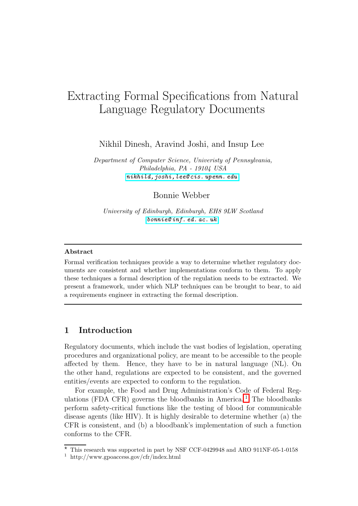# Extracting Formal Specifications from Natural Language Regulatory Documents

Nikhil Dinesh, Aravind Joshi, and Insup Lee

Department of Computer Science, Univeristy of Pennsylvania, Philadelphia, PA - 19104 USA [nikhild,joshi,lee@cis.](nikhild, joshi, lee@cis.upenn.edu) upenn. edu

Bonnie Webber

University of Edinburgh, Edinburgh, EH8 9LW Scotland [bonnie@](bonnie@inf.ed.ac.uk) inf. ed. ac. uk

#### Abstract

Formal verification techniques provide a way to determine whether regulatory documents are consistent and whether implementations conform to them. To apply these techniques a formal description of the regulation needs to be extracted. We present a framework, under which NLP techniques can be brought to bear, to aid a requirements engineer in extracting the formal description.

# <span id="page-0-0"></span>1 Introduction

Regulatory documents, which include the vast bodies of legislation, operating procedures and organizational policy, are meant to be accessible to the people affected by them. Hence, they have to be in natural language (NL). On the other hand, regulations are expected to be consistent, and the governed entities/events are expected to conform to the regulation.

For example, the Food and Drug Administration's Code of Federal Regulations (FDA CFR) governs the bloodbanks in America.<sup>1</sup> The bloodbanks perform safety-critical functions like the testing of blood for communicable disease agents (like HIV). It is highly desirable to determine whether (a) the CFR is consistent, and (b) a bloodbank's implementation of such a function conforms to the CFR.

 $*$  This research was supported in part by NSF CCF-0429948 and ARO 911NF-05-1-0158

<sup>1</sup> http://www.gpoaccess.gov/cfr/index.html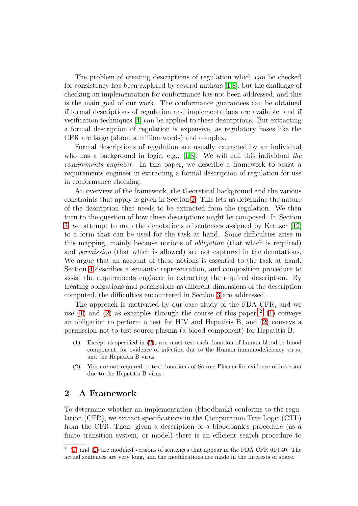The problem of creating descriptions of regulation which can be checked for consistency has been explored by several authors [\[1](#page-9-0)[,8\]](#page-9-1), but the challenge of checking an implementation for conformance has not been addressed, and this is the main goal of our work. The conformance guarantees can be obtained if formal descriptions of regulation and implementations are available, and if verification techniques [\[4\]](#page-9-2) can be applied to these descriptions. But extracting a formal description of regulation is expensive, as regulatory bases like the CFR are large (about a million words) and complex.

Formal descriptions of regulation are usually extracted by an individual who has a background in logic, e.g., [\[1](#page-9-0)[,8\]](#page-9-1). We will call this individual the requirements engineer. In this paper, we describe a framework to assist a requirements engineer in extracting a formal description of regulation for use in conformance checking.

An overview of the framework, the theoretical background and the various constraints that apply is given in Section [2.](#page-1-0) This lets us determine the nature of the description that needs to be extracted from the regulation. We then turn to the question of how these descriptions might be composed. In Section [3,](#page-4-0) we attempt to map the denotations of sentences assigned by Kratzer [\[12\]](#page-9-3) to a form that can be used for the task at hand. Some difficulties arise in this mapping, mainly because notions of obligation (that which is required) and permission (that which is allowed) are not captured in the denotations. We argue that an account of these notions is essential to the task at hand. Section [4](#page-5-0) describes a semantic representation, and composition procedure to assist the requirements engineer in extracting the required description. By treating obligations and permissions as different dimensions of the description computed, the difficulties encountered in Section [3](#page-4-0) are addressed.

The approach is motivated by our case study of the FDA CFR, and we use [\(1\)](#page-1-1) and [\(2\)](#page-1-2) as examples through the course of this paper.<sup>2</sup> (1) conveys an obligation to perform a test for HIV and Hepatitis B, and [\(2\)](#page-1-2) conveys a permission not to test source plasma (a blood component) for Hepatitis B.

- <span id="page-1-1"></span>(1) Except as specified in [\(2\)](#page-1-2), you must test each donation of human blood or blood component, for evidence of infection due to the Human immunodeficiency virus, and the Hepatitis B virus.
- <span id="page-1-2"></span>(2) You are not required to test donations of Source Plasma for evidence of infection due to the Hepatitis B virus.

## <span id="page-1-0"></span>2 A Framework

To determine whether an implementation (bloodbank) conforms to the regulation (CFR), we extract specifications in the Computation Tree Logic (CTL) from the CFR. Then, given a description of a bloodbank's procedure (as a finite transition system, or model) there is an efficient search procedure to

 $2(1)$  $2(1)$  and [\(2\)](#page-1-2) are modified versions of sentences that appear in the FDA CFR 610.40. The actual sentences are very long, and the modifications are made in the interests of space.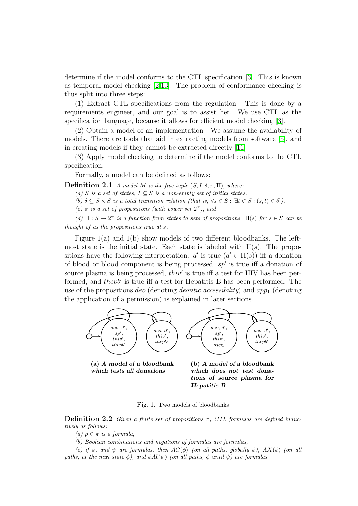determine if the model conforms to the CTL specification [\[3\]](#page-9-4). This is known as temporal model checking [\[2,](#page-9-5)[13\]](#page-9-6). The problem of conformance checking is thus split into three steps:

(1) Extract CTL specifications from the regulation - This is done by a requirements engineer, and our goal is to assist her. We use CTL as the specification language, because it allows for efficient model checking [\[3\]](#page-9-4).

(2) Obtain a model of an implementation - We assume the availability of models. There are tools that aid in extracting models from software [\[5\]](#page-9-7), and in creating models if they cannot be extracted directly [\[11\]](#page-9-8).

(3) Apply model checking to determine if the model conforms to the CTL specification.

Formally, a model can be defined as follows:

**Definition 2.1** A model M is the five-tuple  $(S, I, \delta, \pi, \Pi)$ , where:

(a) S is a set of states,  $I \subseteq S$  is a non-empty set of initial states,

(b)  $\delta \subseteq S \times S$  is a total transition relation (that is,  $\forall s \in S : [\exists t \in S : (s, t) \in \delta]),$ 

(c)  $\pi$  is a set of propositions (with power set  $2^{\pi}$ ), and

(d)  $\Pi: S \to 2^{\pi}$  is a function from states to sets of propositions.  $\Pi(s)$  for  $s \in S$  can be thought of as the propositions true at s.

Figure  $1(a)$  and  $1(b)$  show models of two different bloodbanks. The leftmost state is the initial state. Each state is labeled with  $\Pi(s)$ . The propositions have the following interpretation:  $d'$  is true  $(d' \in \Pi(s))$  iff a donation of blood or blood component is being processed,  $sp'$  is true iff a donation of source plasma is being processed,  $thiv'$  is true iff a test for HIV has been performed, and the pb' is true iff a test for Hepatitis B has been performed. The use of the propositions *deo* (denoting *deontic accessibility*) and  $app<sub>1</sub>$  (denoting the application of a permission) is explained in later sections.

<span id="page-2-0"></span>

(a) A model of a bloodbank which tests all donations

<span id="page-2-1"></span>(b) A model of a bloodbank which does not test donations of source plasma for Hepatitis B

Fig. 1. Two models of bloodbanks

**Definition 2.2** Given a finite set of propositions  $\pi$ , CTL formulas are defined inductively as follows:

(a)  $p \in \pi$  is a formula,

(b) Boolean combinations and negations of formulas are formulas,

(c) if  $\phi$ , and  $\psi$  are formulas, then  $AG(\phi)$  (on all paths, globally  $\phi$ ),  $AX(\phi)$  (on all paths, at the next state  $\phi$ ), and  $\phi A U \psi$ ) (on all paths,  $\phi$  until  $\psi$ ) are formulas.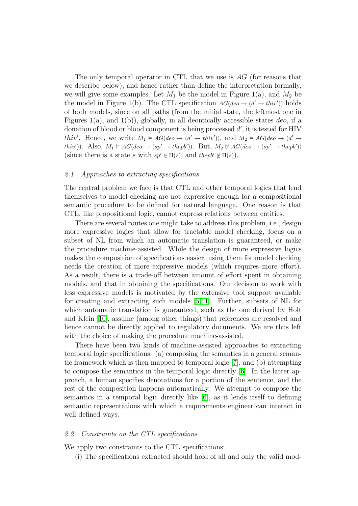The only temporal operator in CTL that we use is AG (for reasons that we describe below), and hence rather than define the interpretation formally, we will give some examples. Let  $M_1$  be the model in Figure 1(a), and  $M_2$  be the model in Figure 1(b). The CTL specification  $AG(deo \rightarrow (d' \rightarrow thiv'))$  holds of both models, since on all paths (from the initial state, the leftmost one in Figures 1(a), and 1(b)), globally, in all deontically accessible states  $deo$ , if a donation of blood or blood component is being processed  $d'$ , it is tested for HIV *thiv'*. Hence, we write  $M_1 \models AG(deo \rightarrow (d' \rightarrow thiv'))$ , and  $M_2 \models AG(deo \rightarrow (d' \rightarrow thiv'))$ thiv')). Also,  $M_1 \vDash AG(deo \rightarrow (sp' \rightarrow thepb'))$ . But,  $M_2 \not\vDash AG(deo \rightarrow (sp' \rightarrow thepb'))$ (since there is a state s with  $sp' \in \Pi(s)$ , and the  $pb' \notin \Pi(s)$ ).

#### 2.1 Approaches to extracting specifications

The central problem we face is that CTL and other temporal logics that lend themselves to model checking are not expressive enough for a compositional semantic procedure to be defined for natural language. One reason is that CTL, like propositional logic, cannot express relations between entities.

There are several routes one might take to address this problem, i.e., design more expressive logics that allow for tractable model checking, focus on a subset of NL from which an automatic translation is guaranteed, or make the procedure machine-assisted. While the design of more expressive logics makes the composition of specifications easier, using them for model checking needs the creation of more expressive models (which requires more effort). As a result, there is a trade-off between amount of effort spent in obtaining models, and that in obtaining the specifications. Our decision to work with less expressive models is motivated by the extensive tool support available for creating and extracting such models [\[5](#page-9-7)[,11\]](#page-9-8). Further, subsets of NL for which automatic translation is guaranteed, such as the one derived by Holt and Klein [\[10\]](#page-9-9), assume (among other things) that references are resolved and hence cannot be directly applied to regulatory documents. We are thus left with the choice of making the procedure machine-assisted.

There have been two kinds of machine-assisted approaches to extracting temporal logic specifications: (a) composing the semantics in a general semantic framework which is then mapped to temporal logic [\[7\]](#page-9-10), and (b) attempting to compose the semantics in the temporal logic directly [\[6\]](#page-9-11). In the latter approach, a human specifies denotations for a portion of the sentence, and the rest of the composition happens automatically. We attempt to compose the semantics in a temporal logic directly like [\[6\]](#page-9-11), as it lends itself to defining semantic representations with which a requirements engineer can interact in well-defined ways.

### 2.2 Constraints on the CTL specifications

We apply two constraints to the CTL specifications:

(i) The specifications extracted should hold of all and only the valid mod-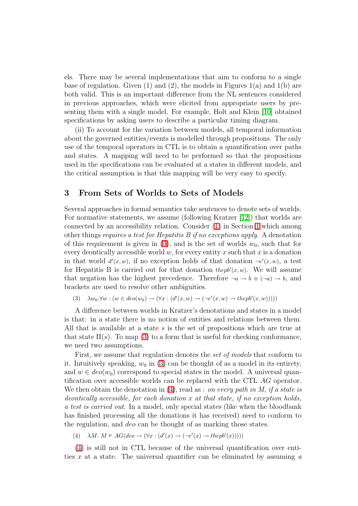els. There may be several implementations that aim to conform to a single base of regulation. Given  $(1)$  and  $(2)$ , the models in Figures  $1(a)$  and  $1(b)$  are both valid. This is an important difference from the NL sentences considered in previous approaches, which were elicited from appropriate users by presenting them with a single model. For example, Holt and Klein [\[10\]](#page-9-9) obtained specifications by asking users to describe a particular timing diagram.

(ii) To account for the variation between models, all temporal information about the governed entities/events is modelled through propositions. The only use of the temporal operators in CTL is to obtain a quantification over paths and states. A mapping will need to be performed so that the propositions used in the specifications can be evaluated at a states in different models, and the critical assumption is that this mapping will be very easy to specify.

# <span id="page-4-0"></span>3 From Sets of Worlds to Sets of Models

Several approaches in formal semantics take sentences to denote sets of worlds. For normative statements, we assume (following Kratzer [\[12\]](#page-9-3)) that worlds are connected by an accessibility relation. Consider [\(1\)](#page-1-1) in Section [1](#page-0-0) which among other things requires a test for Hepatitis B if no exceptions apply. A denotation of this requirement is given in [\(3\)](#page-4-1), and is the set of worlds  $w_0$ , such that for every deontically accessible world  $w$ , for every entity x such that x is a donation in that world  $d'(x, w)$ , if no exception holds of that donation  $\neg e'(x, w)$ , a test for Hepatitis B is carried out for that donation the  $pb'(x, w)$ . We will assume that negation has the highest precedence. Therefore  $\neg a \rightarrow b \equiv (\neg a) \rightarrow b$ , and brackets are used to resolve other ambiguities.

(3)  $\lambda w_0.\forall w : (w \in deo(w_0) \rightarrow (\forall x : (d'(x, w) \rightarrow (\neg e'(x, w) \rightarrow thepb'(x, w))))$ 

<span id="page-4-1"></span>A difference between worlds in Kratzer's denotations and states in a model is that: in a state there is no notion of entities and relations between them. All that is available at a state s is the set of propositions which are true at that state  $\Pi(s)$ . To map [\(3\)](#page-4-1) to a form that is useful for checking conformance. we need two assumptions.

First, we assume that regulation denotes the set of models that conform to it. Intuitively speaking,  $w_0$  in [\(3\)](#page-4-1) can be thought of as a model in its entirety, and  $w \in deo(w_0)$  correspond to special states in the model. A universal quantification over accessible worlds can be replaced with the CTL AG operator. We then obtain the denotation in  $(4)$ , read as : on every path in M, if a state is deontically accessible, for each donation x at that state, if no exception holds, a test is carried out. In a model, only special states (like when the bloodbank has finished processing all the donations it has received) need to conform to the regulation, and deo can be thought of as marking those states.

(4)  $\lambda M. M \models AG(deo \rightarrow (\forall x : (d'(x) \rightarrow (\neg e'(x) \rightarrow thepb'(x))))$ 

<span id="page-4-2"></span>[\(4\)](#page-4-2) is still not in CTL because of the universal quantification over entities x at a state. The universal quantifier can be eliminated by assuming  $\alpha$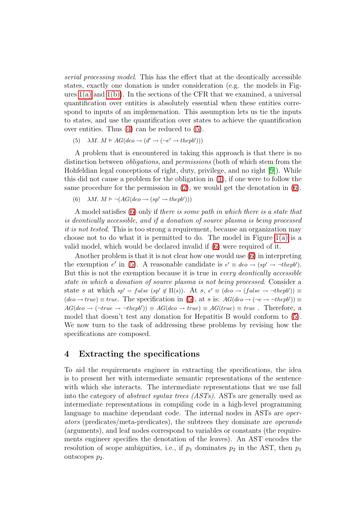serial processing model. This has the effect that at the deontically accessible states, exactly one donation is under consideration (e.g. the models in Figures  $1(a)$  and  $1(b)$ ). In the sections of the CFR that we examined, a universal quantification over entities is absolutely essential when these entities correspond to inputs of an implemenation. This assumption lets us tie the inputs to states, and use the quantification over states to achieve the quantification over entities. Thus [\(4\)](#page-4-2) can be reduced to [\(5\)](#page-5-1).

(5) 
$$
\lambda M. M \models AG(deo \rightarrow (d' \rightarrow (\neg e' \rightarrow thepb')))
$$

<span id="page-5-1"></span>A problem that is encountered in taking this approach is that there is no distinction between *obligations*, and *permissions* (both of which stem from the Hohfeldian legal conceptions of right, duty, privilege, and no right [\[9\]](#page-9-12)). While this did not cause a problem for the obligation in [\(1\)](#page-1-1), if one were to follow the same procedure for the permission in  $(2)$ , we would get the denotation in  $(6)$ .

(6) 
$$
\lambda M. M \models \neg (AG(deo \rightarrow (sp' \rightarrow thepb')))
$$

<span id="page-5-2"></span>A model satisfies [\(6\)](#page-5-2) only if there is some path in which there is a state that is deontically accessible, and if a donation of source plasma is being processed it is not tested. This is too strong a requirement, because an organization may choose not to do what it is permitted to do. The model in Figure  $1(a)$  is a valid model, which would be declared invalid if [\(6\)](#page-5-2) were required of it.

Another problem is that it is not clear how one would use [\(6\)](#page-5-2) in interpreting the exemption e' in [\(5\)](#page-5-1). A reasonable candidate is  $e' \equiv deo \rightarrow (sp' \rightarrow \neg \text{the} pb')$ . But this is not the exemption because it is true in *every deontically accessible* state in which a donation of source plasma is not being processed. Consider a state s at which  $sp' = false$  ( $sp' \notin \Pi(s)$ ). At  $s, e' \equiv (deo \rightarrow (false \rightarrow \neg \text{thepb'})) \equiv$  $(deo \rightarrow true) \equiv true$ . The specification in [\(5\)](#page-5-1), at s is:  $AG(deo \rightarrow (\neg e \rightarrow \neg \text{thepb}')) \equiv$  $AG(deo \rightarrow (\neg true \rightarrow \neg \text{the} \text{p}b')) \equiv AG(deo \rightarrow \text{true}) \equiv AG(true) \equiv \text{true}.$  Therefore, a model that doesn't test any donation for Hepatitis B would conform to [\(5\)](#page-5-1). We now turn to the task of addressing these problems by revising how the specifications are composed.

# <span id="page-5-0"></span>4 Extracting the specifications

To aid the requirements engineer in extracting the specifications, the idea is to present her with intermediate semantic representations of the sentence with which she interacts. The intermediate representations that we use fall into the category of *abstract syntax trees (ASTs)*. ASTs are generally used as intermediate representations in compiling code in a high-level programming language to machine dependant code. The internal nodes in ASTs are *oper*ators (predicates/meta-predicates), the subtrees they dominate are operands (arguments), and leaf nodes correspond to variables or constants (the requirements engineer specifies the denotation of the leaves). An AST encodes the resolution of scope ambiguities, i.e., if  $p_1$  dominates  $p_2$  in the AST, then  $p_1$ outscopes  $p_2$ .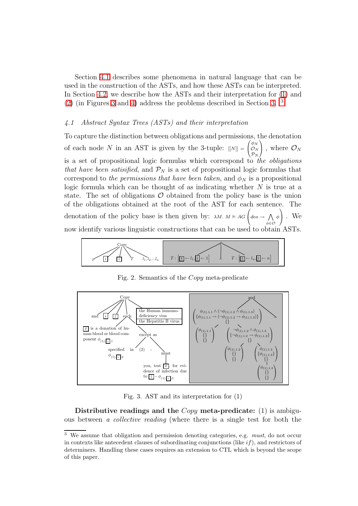Section [4.1](#page-6-0) describes some phenomena in natural language that can be used in the construction of the ASTs, and how these ASTs can be interpreted. In Section [4.2,](#page-8-0) we describe how the ASTs and their interpretation for [\(1\)](#page-1-1) and [\(2\)](#page-1-2) (in Figures [3](#page-6-1) and [4\)](#page-7-0) address the problems described in Section [3.](#page-4-0) 3

#### <span id="page-6-0"></span>4.1 Abstract Syntax Trees (ASTs) and their interpretation

To capture the distinction between obligations and permissions, the denotation of each node N in an AST is given by the 3-tuple:  $[[N]] = \left( \begin{array}{c} 0 & 0 \\ 0 & 0 \end{array} \right)$  $\overline{ }$  $\phi_N$  ${\cal O}_N$  $\mathcal{P}_N$  $\Big)$ , where  $\mathcal{O}_N$ is a set of propositional logic formulas which correspond to the obligations that have been satisified, and  $\mathcal{P}_N$  is a set of propositional logic formulas that correspond to the permissions that have been taken, and  $\phi_N$  is a propositional logic formula which can be thought of as indicating whether  $N$  is true at a state. The set of obligations  $\mathcal O$  obtained from the policy base is the union of the obligations obtained at the root of the AST for each sentence. The denotation of the policy base is then given by:  $\lambda M. M \models AG$  $\left(\right. deo \rightarrow \left. \right\wedge$ φ∈O φ 1 <sup>A</sup> . We now identify various linguistic constructions that can be used to obtain ASTs.



Fig. 2. Semantics of the Copy meta-predicate



<span id="page-6-1"></span>Fig. 3. AST and its interpretation for (1)

Distributive readings and the  $\mathit{Copy}$  meta-predicate: (1) is ambiguous between a collective reading (where there is a single test for both the

<sup>&</sup>lt;sup>3</sup> We assume that obligation and permission denoting categories, e.g. *must*, do not occur in contexts like antecedent clauses of subordinating conjunctions (like  $if$ ), and restrictors of determiners. Handling these cases requires an extension to CTL which is beyond the scope of this paper.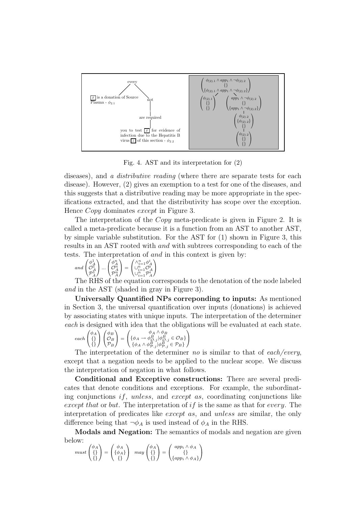

<span id="page-7-0"></span>Fig. 4. AST and its interpretation for (2)

diseases), and a *distributive reading* (where there are separate tests for each disease). However, (2) gives an exemption to a test for one of the diseases, and this suggests that a distributive reading may be more appropriate in the specifications extracted, and that the distributivity has scope over the exception. Hence *Copy* dominates *except* in Figure 3.

The interpretation of the Copy meta-predicate is given in Figure 2. It is called a meta-predicate because it is a function from an AST to another AST, by simple variable substitution. For the AST for (1) shown in Figure 3, this results in an AST rooted with *and* with subtrees corresponding to each of the tests. The interpretation of and in this context is given by:

$$
and \begin{pmatrix} \phi_A^1 \\ \mathcal{O}_A^1 \\ \mathcal{P}_A^1 \end{pmatrix} ... \begin{pmatrix} \phi_A^n \\ \mathcal{O}_A^n \\ \mathcal{P}_A^n \end{pmatrix} = \begin{pmatrix} \wedge_{i=1}^n \phi_A^i \\ \cup_{i=1}^n \mathcal{O}_A^i \\ \cup_{i=1}^n \mathcal{P}_A^i \end{pmatrix}
$$

The RHS of the equation corresponds to the denotation of the node labeled and in the AST (shaded in gray in Figure 3).

Universally Quantified NPs correponding to inputs: As mentioned in Section 3, the universal quantification over inputs (donations) is achieved by associating states with unique inputs. The interpretation of the determiner each is designed with idea that the obligations will be evaluated at each state.

$$
each \begin{pmatrix} \phi_A \\ \{\} \\ \{\} \end{pmatrix} \begin{pmatrix} \phi_B \\ \mathcal{O}_B \\ \mathcal{P}_B \end{pmatrix} = \begin{pmatrix} \phi_A \wedge \phi_B \\ \{\phi_A \rightarrow \phi_{O.j}^B | \phi_{O.j}^B \in \mathcal{O}_B\} \\ \{\phi_A \wedge \phi_{P.j}^B | \phi_{P.j}^B \in \mathcal{P}_B\} \end{pmatrix}
$$

The interpretation of the determiner no is similar to that of each/every, except that a negation needs to be applied to the nuclear scope. We discuss the interpretation of negation in what follows.

Conditional and Exceptive constructions: There are several predicates that denote conditions and exceptions. For example, the subordinating conjunctions *if*, *unless*, and *except as*, coordinating conjunctions like except that or but. The interpretation of if is the same as that for every. The interpretation of predicates like *except as*, and *unless* are similar, the only difference being that  $\neg \phi_A$  is used instead of  $\phi_A$  in the RHS.

Modals and Negation: The semantics of modals and negation are given below:

$$
must \begin{pmatrix} \phi_A \\ \{\} \\ \{\}\end{pmatrix} = \begin{pmatrix} \phi_A \\ \{\phi_A\} \\ \{\}\end{pmatrix} \quad may \begin{pmatrix} \phi_A \\ \{\} \\ \{\}\end{pmatrix} = \begin{pmatrix} app_i \land \phi_A \\ \{\} \\ \{app_i \land \phi_A\}\end{pmatrix}
$$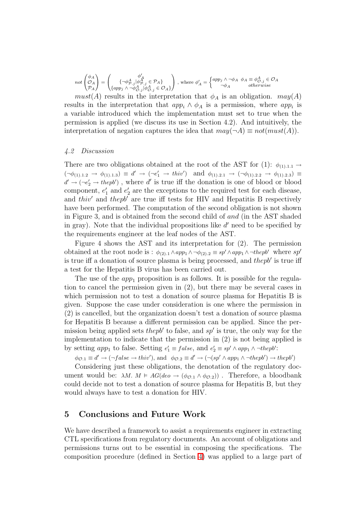$$
not\begin{pmatrix} \phi_A \\ {\mathcal O}_A \\ {\mathcal P}_A \end{pmatrix} = \begin{pmatrix} \phi'_A \\ \{\alpha pp_j \wedge \neg \phi^A_{{\mathcal O},j} | \phi^A_{{\mathcal O},j} \in {\mathcal O}_A\} \\ \{\alpha pp_j \wedge \neg \phi^A_{{\mathcal O},j} | \phi^A_{{\mathcal O},j} \in {\mathcal O}_A\} \end{pmatrix} \text{ , where } \phi'_A = \begin{cases} app_j \wedge \neg \phi_A \ \ \phi_A \equiv \phi^A_{{\mathcal O},j} \in {\mathcal O}_A \\ \neg \phi_A \end{cases}
$$
 otherwise

 $must(A)$  results in the interpretation that  $\phi_A$  is an obligation.  $may(A)$ results in the interpretation that  $app_i \wedge \phi_A$  is a permission, where  $app_i$  is a variable introduced which the implementation must set to true when the permission is applied (we discuss its use in Section 4.2). And intuitively, the interpretation of negation captures the idea that  $may(\neg A) \equiv not(must(A)).$ 

#### <span id="page-8-0"></span>4.2 Discussion

There are two obligations obtained at the root of the AST for (1):  $\phi_{(1),1,1} \rightarrow$  $(\neg \phi_{(1),1,2} \rightarrow \phi_{(1),1,3}) \equiv d' \rightarrow (\neg e'_1 \rightarrow thiv') \text{ and } \phi_{(1),2,1} \rightarrow (\neg \phi_{(1),2,2} \rightarrow \phi_{(1),2,3}) \equiv$  $d' \rightarrow (\neg e_2' \rightarrow \mathit{thepb}')$ , where d' is true iff the donation is one of blood or blood component,  $e'_1$  and  $e'_2$  are the exceptions to the required test for each disease, and thiv' and thepb' are true iff tests for HIV and Hepatitis B respectively have been performed. The computation of the second obligation is not shown in Figure 3, and is obtained from the second child of and (in the AST shaded in gray). Note that the individual propositions like  $d'$  need to be specified by the requirements engineer at the leaf nodes of the AST.

Figure 4 shows the AST and its interpretation for (2). The permission obtained at the root node is :  $\phi_{(2),1} \wedge app_1 \wedge \neg \phi_{(2),2} \equiv sp' \wedge app_1 \wedge \neg \textit{thepb}'$  where sp' is true iff a donation of source plasma is being processed, and  $thepb'$  is true iff a test for the Hepatitis B virus has been carried out.

The use of the  $app_1$  proposition is as follows. It is possible for the regulation to cancel the permission given in (2), but there may be several cases in which permission not to test a donation of source plasma for Hepatitis B is given. Suppose the case under consideration is one where the permission in (2) is cancelled, but the organization doesn't test a donation of source plasma for Hepatitis B because a different permission can be applied. Since the permission being applied sets *thepb'* to false, and  $sp'$  is true, the only way for the implementation to indicate that the permission in (2) is not being applied is by setting  $app_1$  to false. Setting  $e'_1 \equiv false$ , and  $e'_2 \equiv sp' \wedge app_1 \wedge \neg \text{the} p b'$ :

 $\phi_{\mathcal{O}.1} \equiv d' \rightarrow (\neg false \rightarrow thiv'), \text{ and } \phi_{\mathcal{O}.2} \equiv d' \rightarrow (\neg (sp' \land app_1 \land \neg \textit{thepb}') \rightarrow \textit{thepb}')$ 

Considering just these obligations, the denotation of the regulatory document would be:  $\lambda M$ .  $M \models AG(deo \rightarrow (\phi_{\mathcal{O},1} \land \phi_{\mathcal{O},2}))$ . Therefore, a bloodbank could decide not to test a donation of source plasma for Hepatitis B, but they would always have to test a donation for HIV.

## 5 Conclusions and Future Work

We have described a framework to assist a requirements engineer in extracting CTL specifications from regulatory documents. An account of obligations and permissions turns out to be essential in composing the specifications. The composition procedure (defined in Section [4\)](#page-5-0) was applied to a large part of